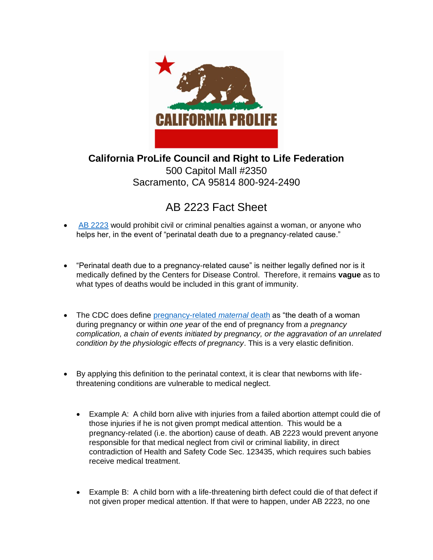

**California ProLife Council and Right to Life Federation**  500 Capitol Mall #2350 Sacramento, CA 95814 800-924-2490

## AB 2223 Fact Sheet

- [AB 2223](https://leginfo.legislature.ca.gov/faces/billTextClient.xhtml?bill_id=202120220AB2223) would prohibit civil or criminal penalties against a woman, or anyone who helps her, in the event of "perinatal death due to a pregnancy-related cause."
- "Perinatal death due to a pregnancy-related cause" is neither legally defined nor is it medically defined by the Centers for Disease Control. Therefore, it remains **vague** as to what types of deaths would be included in this grant of immunity.
- The CDC does define [pregnancy-related](https://www.cdc.gov/reproductivehealth/maternal-mortality/preventing-pregnancy-related-deaths.html?CDC_AA_refVal=https%3A%2F%2Fwww.cdc.gov%2Freproductivehealth%2Fmaternalinfanthealth%2Fpregnancy-relatedmortality.htm) *maternal* death as "the death of a woman during pregnancy or within *one year* of the end of pregnancy from *a pregnancy complication, a chain of events initiated by pregnancy, or the aggravation of an unrelated condition by the physiologic effects of pregnancy*. This is a very elastic definition.
- By applying this definition to the perinatal context, it is clear that newborns with lifethreatening conditions are vulnerable to medical neglect.
	- Example A: A child born alive with injuries from a failed abortion attempt could die of those injuries if he is not given prompt medical attention. This would be a pregnancy-related (i.e. the abortion) cause of death. AB 2223 would prevent anyone responsible for that medical neglect from civil or criminal liability, in direct contradiction of Health and Safety Code Sec. 123435, which requires such babies receive medical treatment.
	- Example B: A child born with a life-threatening birth defect could die of that defect if not given proper medical attention. If that were to happen, under AB 2223, no one